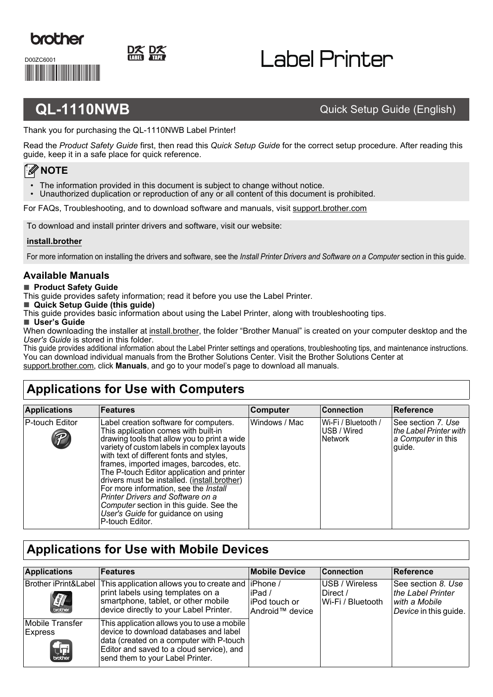

<u> Hilliam Maria III (</u>

D00ZC6001

# I abel Printer

### **QL-1110NWB** Quick Setup Guide (English)

Thank you for purchasing the QL-1110NWB Label Printer!

Read the *Product Safety Guide* first, then read this *Quick Setup Guide* for the correct setup procedure. After reading this guide, keep it in a safe place for quick reference.

### **NOTE**

- The information provided in this document is subject to change without notice.
- Unauthorized duplication or reproduction of any or all content of this document is prohibited.

For FAQs, Troubleshooting, and to download software and manuals, visit [support.brother.com](http://support.brother.com)

To download and install printer drivers and software, visit our website:

#### **[install.brother](http://install.brother)**

For more information on installing the drivers and software, see the *[Install Printer Drivers and Software on a Computer](#page-5-0)* section in this guide.

#### **Available Manuals**

#### **Product Safety Guide**

This guide provides safety information; read it before you use the Label Printer.

■ Quick Setup Guide (this guide)

This guide provides basic information about using the Label Printer, along with troubleshooting tips.

#### **User's Guide**

When downloading the installer at [install.brother](http://install.brother), the folder "Brother Manual" is created on your computer desktop and the *User's Guide* is stored in this folder.

This guide provides additional information about the Label Printer settings and operations, troubleshooting tips, and maintenance instructions. You can download individual manuals from the Brother Solutions Center. Visit the Brother Solutions Center at [support.brother.com](http://support.brother.com), click **Manuals**, and go to your model's page to download all manuals.

## **Applications for Use with Computers**

| <b>Applications</b> | <b>Features</b>                                                                                                                                                                                                                                                                                                                                                                                                                                                                                                                                             | Computer      | <b>Connection</b>                                    | <b>Reference</b>                                                             |
|---------------------|-------------------------------------------------------------------------------------------------------------------------------------------------------------------------------------------------------------------------------------------------------------------------------------------------------------------------------------------------------------------------------------------------------------------------------------------------------------------------------------------------------------------------------------------------------------|---------------|------------------------------------------------------|------------------------------------------------------------------------------|
| P-touch Editor<br>P | Label creation software for computers.<br>This application comes with built-in<br>drawing tools that allow you to print a wide<br>variety of custom labels in complex layouts<br>with text of different fonts and styles,<br>frames, imported images, barcodes, etc.<br>The P-touch Editor application and printer<br>drivers must be installed. (install.brother)<br>For more information, see the Install<br><b>Printer Drivers and Software on a</b><br>Computer section in this guide. See the<br>User's Guide for guidance on using<br>P-touch Editor. | Windows / Mac | Wi-Fi / Bluetooth /<br>USB / Wired<br><b>Network</b> | See section 7. Use<br>the Label Printer with<br>a Computer in this<br>guide. |

### **Applications for Use with Mobile Devices**

| <b>Applications</b>               | Features                                                                                                                                                                                                           | <b>Mobile Device</b>                                      | <b>Connection</b>                               | Reference                                                                         |
|-----------------------------------|--------------------------------------------------------------------------------------------------------------------------------------------------------------------------------------------------------------------|-----------------------------------------------------------|-------------------------------------------------|-----------------------------------------------------------------------------------|
| Brother iPrint&Label<br>$\left[$  | This application allows you to create and<br>print labels using templates on a<br>smartphone, tablet, or other mobile<br>device directly to your Label Printer.                                                    | liPhone /<br>liPad /<br>liPod touch or<br>Android™ device | USB / Wireless<br>Direct /<br>Wi-Fi / Bluetooth | See section 8. Use<br>the Label Printer<br>with a Mobile<br>Device in this guide. |
| Mobile Transfer<br><b>Express</b> | This application allows you to use a mobile<br>device to download databases and label<br>data (created on a computer with P-touch<br>Editor and saved to a cloud service), and<br>send them to your Label Printer. |                                                           |                                                 |                                                                                   |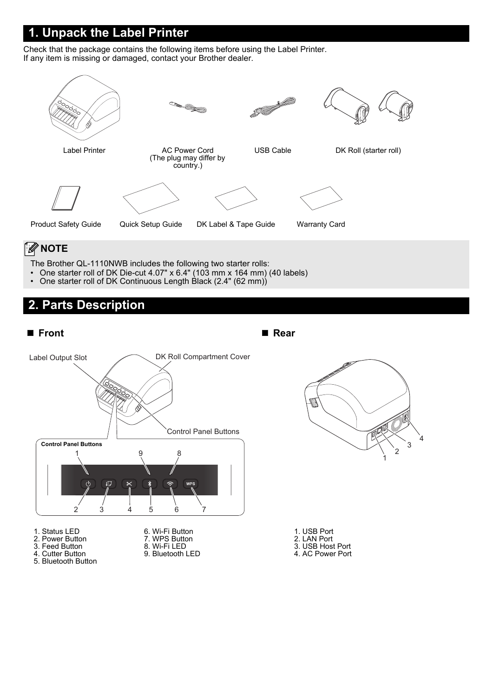### **1. Unpack the Label Printer**

Check that the package contains the following items before using the Label Printer. If any item is missing or damaged, contact your Brother dealer.



### **NOTE**

The Brother QL-1110NWB includes the following two starter rolls:

- One starter roll of DK Die-cut 4.07" x 6.4" (103 mm x 164 mm) (40 labels)
- One starter roll of DK Continuous Length Black (2.4" (62 mm))

## **2. Parts Description**

#### ■ Front ■ Rear

Label Output Slot DK Roll Compartment Cover Control Panel Buttons **Control Panel Buttons** 1 9 8  $\overline{d}$  $\mathfrak{t}\mathbb{D}$ 2 3 45 6 7 1. Status LED 6. Wi-Fi Button 2. Power Button 7. WPS Button 3. Feed Button

- 4. Cutter Button
- 5. Bluetooth Button
- 8. Wi-Fi LED
- 9. Bluetooth LED



| 1. USB Port |
|-------------|
|             |
| 2. LAN Port |

- 3. USB Host Port
- 4. AC Power Port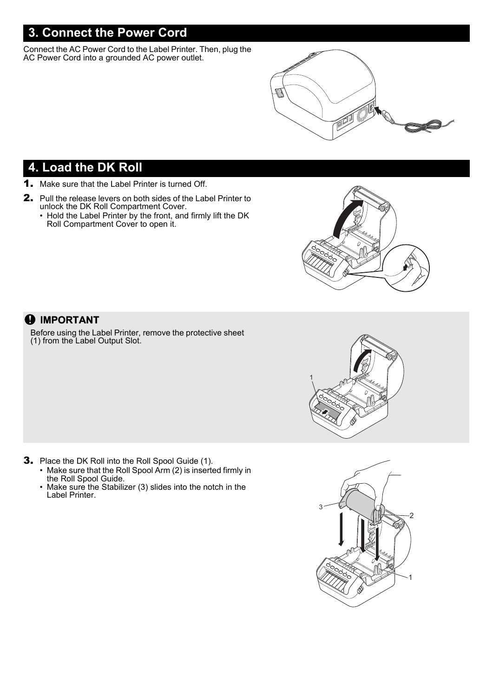### **3. Connect the Power Cord**

Connect the AC Power Cord to the Label Printer. Then, plug the AC Power Cord into a grounded AC power outlet.



### **4. Load the DK Roll**

- 1. Make sure that the Label Printer is turned Off.
- 2. Pull the release levers on both sides of the Label Printer to unlock the DK Roll Compartment Cover.
	- Hold the Label Printer by the front, and firmly lift the DK Roll Compartment Cover to open it.



#### **O** IMPORTANT

Before using the Label Printer, remove the protective sheet (1) from the Label Output Slot.





- 3. Place the DK Roll into the Roll Spool Guide (1).
	- Make sure that the Roll Spool Arm (2) is inserted firmly in the Roll Spool Guide.
	- Make sure the Stabilizer (3) slides into the notch in the Label Printer.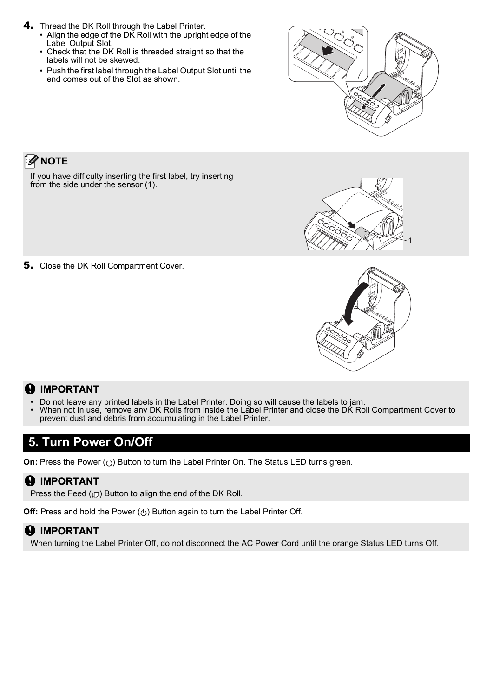- 4. Thread the DK Roll through the Label Printer.
	- Align the edge of the DK Roll with the upright edge of the Label Output Slot. • Check that the DK Roll is threaded straight so that the
	- labels will not be skewed. • Push the first label through the Label Output Slot until the
	- end comes out of the Slot as shown.



### **NOTE**

If you have difficulty inserting the first label, try inserting from the side under the sensor (1).



5. Close the DK Roll Compartment Cover.



### **A** IMPORTANT

- Do not leave any printed labels in the Label Printer. Doing so will cause the labels to jam.<br>• When not in use, remove any DK Rolls from inside the Label Printer and close the DK Ro
- When not in use, remove any DK Rolls from inside the Label Printer and close the DK Roll Compartment Cover to prevent dust and debris from accumulating in the Label Printer.

### **5. Turn Power On/Off**

**On:** Press the Power ( $\circlearrowleft$ ) Button to turn the Label Printer On. The Status LED turns green.

#### *O* IMPORTANT

Press the Feed  $(I, \mathbb{F})$  Button to align the end of the DK Roll.

**Off:** Press and hold the Power ( $\circ$ ) Button again to turn the Label Printer Off.

### **A** IMPORTANT

When turning the Label Printer Off, do not disconnect the AC Power Cord until the orange Status LED turns Off.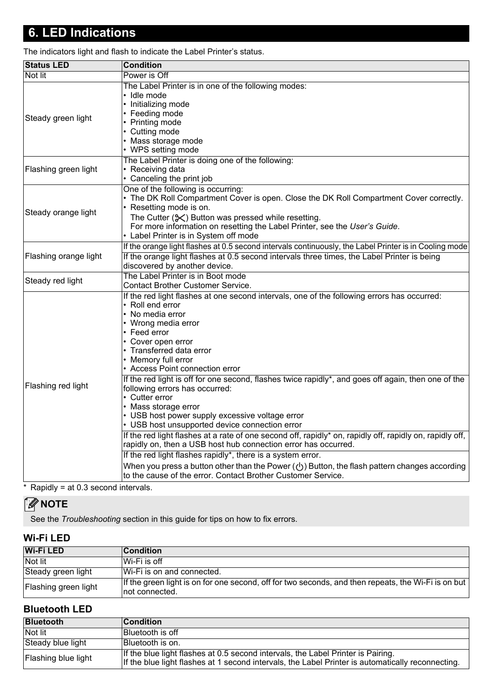### **6. LED Indications**

The indicators light and flash to indicate the Label Printer's status.

| Not lit<br>Power is Off<br>The Label Printer is in one of the following modes:<br>• Idle mode<br>• Initializing mode<br>• Feeding mode<br>Steady green light<br>• Printing mode<br>• Cutting mode<br>• Mass storage mode<br>• WPS setting mode<br>The Label Printer is doing one of the following:<br>• Receiving data<br>Flashing green light<br>• Canceling the print job<br>One of the following is occurring:<br>• The DK Roll Compartment Cover is open. Close the DK Roll Compartment Cover correctly.<br>• Resetting mode is on.<br>Steady orange light<br>The Cutter $(\mathcal{K})$ Button was pressed while resetting.<br>For more information on resetting the Label Printer, see the User's Guide.<br>• Label Printer is in System off mode<br>Flashing orange light<br>If the orange light flashes at 0.5 second intervals three times, the Label Printer is being<br>discovered by another device.<br>The Label Printer is in Boot mode<br>Steady red light<br><b>Contact Brother Customer Service.</b><br>If the red light flashes at one second intervals, one of the following errors has occurred:<br>• Roll end error<br>• No media error<br>• Wrong media error<br>• Feed error<br>• Cover open error<br>• Transferred data error<br>• Memory full error<br>• Access Point connection error<br>If the red light is off for one second, flashes twice rapidly*, and goes off again, then one of the<br>Flashing red light<br>following errors has occurred:<br>• Cutter error<br>• Mass storage error<br>• USB host power supply excessive voltage error<br>• USB host unsupported device connection error<br>If the red light flashes at a rate of one second off, rapidly* on, rapidly off, rapidly on, rapidly off,<br>rapidly on, then a USB host hub connection error has occurred.<br>If the red light flashes rapidly*, there is a system error.<br>When you press a button other than the Power ( $\langle \cdot \rangle$ ) Button, the flash pattern changes according<br>to the cause of the error. Contact Brother Customer Service. | <b>Status LED</b> | <b>Condition</b> |
|--------------------------------------------------------------------------------------------------------------------------------------------------------------------------------------------------------------------------------------------------------------------------------------------------------------------------------------------------------------------------------------------------------------------------------------------------------------------------------------------------------------------------------------------------------------------------------------------------------------------------------------------------------------------------------------------------------------------------------------------------------------------------------------------------------------------------------------------------------------------------------------------------------------------------------------------------------------------------------------------------------------------------------------------------------------------------------------------------------------------------------------------------------------------------------------------------------------------------------------------------------------------------------------------------------------------------------------------------------------------------------------------------------------------------------------------------------------------------------------------------------------------------------------------------------------------------------------------------------------------------------------------------------------------------------------------------------------------------------------------------------------------------------------------------------------------------------------------------------------------------------------------------------------------------------------------------------------------------------------------------------------------------------------------------------------------|-------------------|------------------|
|                                                                                                                                                                                                                                                                                                                                                                                                                                                                                                                                                                                                                                                                                                                                                                                                                                                                                                                                                                                                                                                                                                                                                                                                                                                                                                                                                                                                                                                                                                                                                                                                                                                                                                                                                                                                                                                                                                                                                                                                                                                                    |                   |                  |
| If the orange light flashes at 0.5 second intervals continuously, the Label Printer is in Cooling mode                                                                                                                                                                                                                                                                                                                                                                                                                                                                                                                                                                                                                                                                                                                                                                                                                                                                                                                                                                                                                                                                                                                                                                                                                                                                                                                                                                                                                                                                                                                                                                                                                                                                                                                                                                                                                                                                                                                                                             |                   |                  |
|                                                                                                                                                                                                                                                                                                                                                                                                                                                                                                                                                                                                                                                                                                                                                                                                                                                                                                                                                                                                                                                                                                                                                                                                                                                                                                                                                                                                                                                                                                                                                                                                                                                                                                                                                                                                                                                                                                                                                                                                                                                                    |                   |                  |
|                                                                                                                                                                                                                                                                                                                                                                                                                                                                                                                                                                                                                                                                                                                                                                                                                                                                                                                                                                                                                                                                                                                                                                                                                                                                                                                                                                                                                                                                                                                                                                                                                                                                                                                                                                                                                                                                                                                                                                                                                                                                    |                   |                  |
|                                                                                                                                                                                                                                                                                                                                                                                                                                                                                                                                                                                                                                                                                                                                                                                                                                                                                                                                                                                                                                                                                                                                                                                                                                                                                                                                                                                                                                                                                                                                                                                                                                                                                                                                                                                                                                                                                                                                                                                                                                                                    |                   |                  |
|                                                                                                                                                                                                                                                                                                                                                                                                                                                                                                                                                                                                                                                                                                                                                                                                                                                                                                                                                                                                                                                                                                                                                                                                                                                                                                                                                                                                                                                                                                                                                                                                                                                                                                                                                                                                                                                                                                                                                                                                                                                                    |                   |                  |
|                                                                                                                                                                                                                                                                                                                                                                                                                                                                                                                                                                                                                                                                                                                                                                                                                                                                                                                                                                                                                                                                                                                                                                                                                                                                                                                                                                                                                                                                                                                                                                                                                                                                                                                                                                                                                                                                                                                                                                                                                                                                    |                   |                  |

Rapidly = at  $0.3$  second intervals.

### **NOTE**

See the *Troubleshooting* section in this guide for tips on how to fix errors.

#### **Wi-Fi LED**

| <b>Wi-Fi LED</b>     | <b>Condition</b>                                                                                                       |
|----------------------|------------------------------------------------------------------------------------------------------------------------|
| Not lit              | ∣Wi-Fi is off                                                                                                          |
| Steady green light   | Wi-Fi is on and connected.                                                                                             |
| Flashing green light | If the green light is on for one second, off for two seconds, and then repeats, the Wi-Fi is on but<br>Inot connected. |

#### **Bluetooth LED**

| <b>Bluetooth</b>    | <b>Condition</b>                                                                                                                                                                      |
|---------------------|---------------------------------------------------------------------------------------------------------------------------------------------------------------------------------------|
| Not lit             | Bluetooth is off                                                                                                                                                                      |
| Steady blue light   | Bluetooth is on.                                                                                                                                                                      |
| Flashing blue light | If the blue light flashes at 0.5 second intervals, the Label Printer is Pairing.<br>If the blue light flashes at 1 second intervals, the Label Printer is automatically reconnecting. |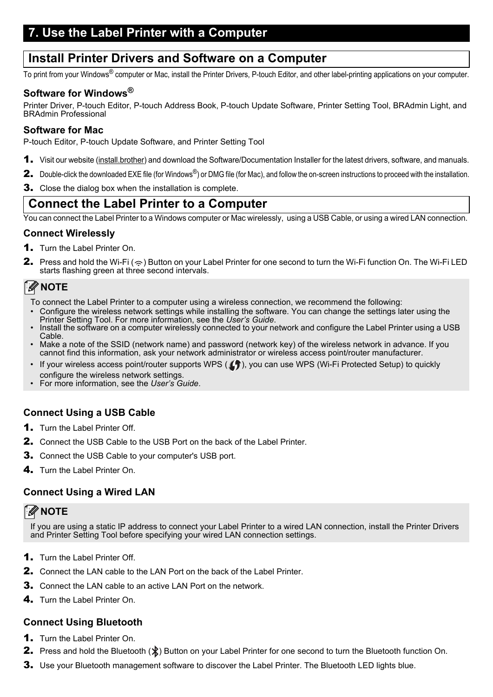### <span id="page-5-1"></span>**7. Use the Label Printer with a Computer**

### <span id="page-5-0"></span>**Install Printer Drivers and Software on a Computer**

To print from your Windows® computer or Mac, install the Printer Drivers, P-touch Editor, and other label-printing applications on your computer.

#### **Software for Windows®**

Printer Driver, P-touch Editor, P-touch Address Book, P-touch Update Software, Printer Setting Tool, BRAdmin Light, and BRAdmin Professional

#### **Software for Mac**

P-touch Editor, P-touch Update Software, and Printer Setting Tool

- **1.** Visit our website ([install.brother](http://install.brother)) and download the Software/Documentation Installer for the latest drivers, software, and manuals.
- 2. Double-click the downloaded EXE file (for Windows<sup>®</sup>) or DMG file (for Mac), and follow the on-screen instructions to proceed with the installation.
- **3.** Close the dialog box when the installation is complete.

### **Connect the Label Printer to a Computer**

You can connect the Label Printer to a Windows computer or Mac wirelessly, using a USB Cable, or using a wired LAN connection.

#### **Connect Wirelessly**

- 1. Turn the Label Printer On.
- **2.** Press and hold the Wi-Fi ( $\Rightarrow$ ) Button on your Label Printer for one second to turn the Wi-Fi function On. The Wi-Fi LED starts flashing green at three second intervals.

#### \* Ø **NOTE**

- To connect the Label Printer to a computer using a wireless connection, we recommend the following:
- Configure the wireless network settings while installing the software. You can change the settings later using the Printer Setting Tool. For more information, see the *User's Guide*.
- Install the software on a computer wirelessly connected to your network and configure the Label Printer using a USB Cable.
- Make a note of the SSID (network name) and password (network key) of the wireless network in advance. If you cannot find this information, ask your network administrator or wireless access point/router manufacturer.
- If your wireless access point/router supports WPS  $(f)$ , you can use WPS (Wi-Fi Protected Setup) to quickly configure the wireless network settings.
- For more information, see the *User's Guide*.

#### **Connect Using a USB Cable**

- **1.** Turn the Label Printer Off.
- 2. Connect the USB Cable to the USB Port on the back of the Label Printer.
- 3. Connect the USB Cable to your computer's USB port.
- 4. Turn the Label Printer On.

#### **Connect Using a Wired LAN**

### **NOTE**

If you are using a static IP address to connect your Label Printer to a wired LAN connection, install the Printer Drivers and Printer Setting Tool before specifying your wired LAN connection settings.

- **1.** Turn the Label Printer Off.
- 2. Connect the LAN cable to the LAN Port on the back of the Label Printer.
- 3. Connect the LAN cable to an active LAN Port on the network.
- 4. Turn the Label Printer On.

#### **Connect Using Bluetooth**

- 1. Turn the Label Printer On.
- **2.** Press and hold the Bluetooth  $(\frac{1}{2})$  Button on your Label Printer for one second to turn the Bluetooth function On.
- **3.** Use your Bluetooth management software to discover the Label Printer. The Bluetooth LED lights blue.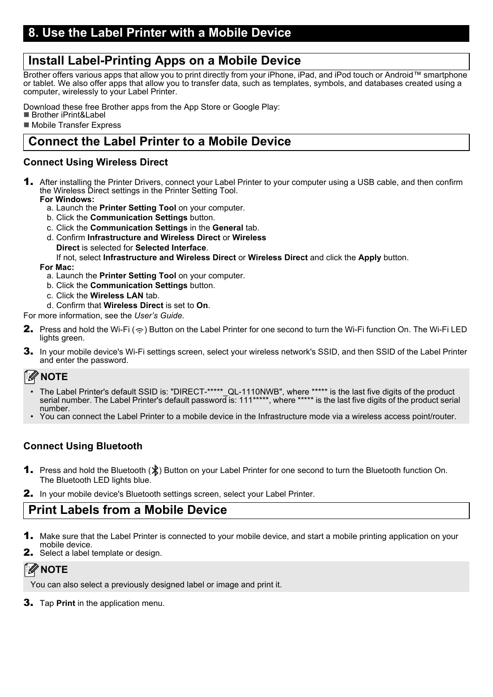### <span id="page-6-0"></span>**Install Label-Printing Apps on a Mobile Device**

Brother offers various apps that allow you to print directly from your iPhone, iPad, and iPod touch or Android™ smartphone or tablet. We also offer apps that allow you to transfer data, such as templates, symbols, and databases created using a computer, wirelessly to your Label Printer.

Download these free Brother apps from the App Store or Google Play:

■ Brother iPrint&Label

**Mobile Transfer Express** 

### **Connect the Label Printer to a Mobile Device**

#### **Connect Using Wireless Direct**

- 1. After installing the Printer Drivers, connect your Label Printer to your computer using a USB cable, and then confirm the Wireless Direct settings in the Printer Setting Tool.
	- **For Windows:**
		- a. Launch the **Printer Setting Tool** on your computer.
		- b. Click the **Communication Settings** button.
		- c. Click the **Communication Settings** in the **General** tab.
		- d. Confirm **Infrastructure and Wireless Direct** or **Wireless Direct** is selected for **Selected Interface**.

If not, select **Infrastructure and Wireless Direct** or **Wireless Direct** and click the **Apply** button.

#### **For Mac:**

- a. Launch the **Printer Setting Tool** on your computer.
- b. Click the **Communication Settings** button.
- c. Click the **Wireless LAN** tab.
- d. Confirm that **Wireless Direct** is set to **On**.

For more information, see the *User's Guide*.

- **2.** Press and hold the Wi-Fi ( $\Rightarrow$ ) Button on the Label Printer for one second to turn the Wi-Fi function On. The Wi-Fi LED lights green.
- 3. In your mobile device's Wi-Fi settings screen, select your wireless network's SSID, and then SSID of the Label Printer and enter the password.

### *A* NOTE

- The Label Printer's default SSID is: "DIRECT-\*\*\*\*\* QL-1110NWB", where \*\*\*\*\* is the last five digits of the product serial number. The Label Printer's default password is: 111\*\*\*\*\*, where \*\*\*\*\* is the last five digits of the product serial number.
- You can connect the Label Printer to a mobile device in the Infrastructure mode via a wireless access point/router.

### **Connect Using Bluetooth**

- **1.** Press and hold the Bluetooth  $(\hat{\mathbf{X}})$  Button on your Label Printer for one second to turn the Bluetooth function On. The Bluetooth LED lights blue.
- 2. In your mobile device's Bluetooth settings screen, select your Label Printer.

### **Print Labels from a Mobile Device**

- **1.** Make sure that the Label Printer is connected to your mobile device, and start a mobile printing application on your mobile device.
- **2.** Select a label template or design.

### **NOTE**

You can also select a previously designed label or image and print it.

3. Tap **Print** in the application menu.